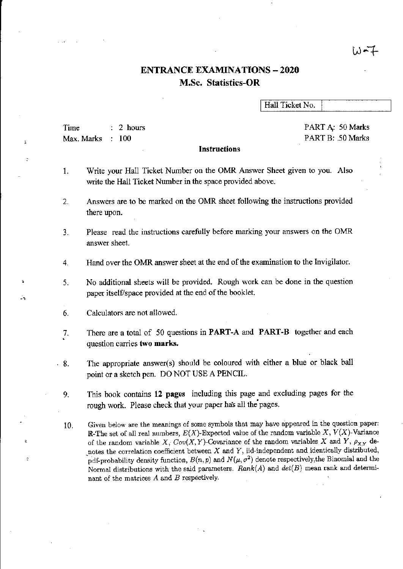## いーナ

# ENTRANCE EXAMINATIONS - 2020 M.Sc. Statistics-OR

Hall Ticket No.

Time Max. Marks 2 hours  $: 100$ 

PART A: 50 Marks PART B: .50 Marks

### Instructions

- 1. Write your Hall Ticket Number on the OMR Answer Sheet given to you. Also write the Hall Ticket Number in the space provided above.
- 2. Answers are to be marked on the OMR sheet following the instructions provided there upon.
- 3. Please read the instructions carefully before marking your answers on the OMR answer sheet.
- 4. Hand over the OMR answer sheet at the end of the examination to the Invigilator.
- 5. No additional sheets will be provided. Rough work can be done in the question paper itself/space provided at the end of the booklet.
- 6. Calculators are not allowed,

,

 $\frac{1}{2}$ 

- 7. There are a total of 50 questions in **PART-A** and **PART-B** together and each question carries two marks.
- . 8. The appropriate answer(s) should be coloured with either a blue or black ball point or a sketch pen. DO NOT USE A PENCIL.
	- 9. This book contains 12 pages including this page and excluding pages for the rough work. Please check that your paper has all the pages.
	- 10. Given below are the meanings of some symbols that may have appeared in the question paper: R-The set of all real numbers,  $E(X)$ -Expected value of the random variable X,  $V(X)$ -Variance of the random variable X,  $Cov(X, Y)$ -Covariance of the random variables X and Y,  $\rho_{X,Y}$  denotes the correlation coefficient between  $X$  and  $Y$ , iid-independent and identically distributed, pdf-probability density function,  $B(n, p)$  and  $N(\mu, \sigma^2)$  denote respectively, the Binomial and the Normal distributions with the said parameters. *Rank(A)* and *det(B)* mean rank and determinant of the matrices A and B respectively.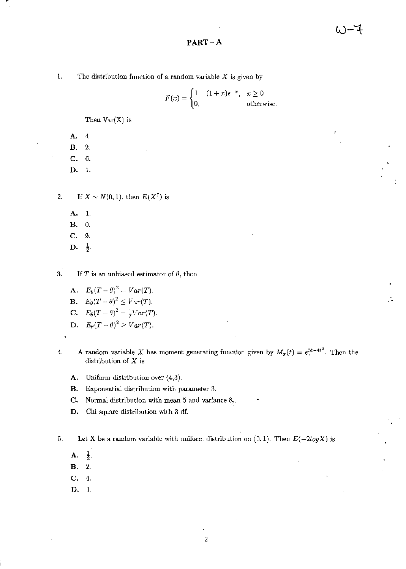PART-A

1. The distribution function of a random variable  $X$  is given by

 $F(x) = \begin{cases} 1 - (1+x)e^{-x}, & x \ge 0. \end{cases}$ 0, otherwise.

Then  $Var(X)$  is

A. 4.

B. 2.

C. 6.

D. 1.

2. If  $X \sim N(0, 1)$ , then  $E(X^7)$  is

- A. 1.
- B. O.
- C. 9.
- D.  $\frac{1}{2}$ .

3. If *T* is an unbiased estimator of *0,* then

- A.  $E_{\theta}(T-\theta)^2 = Var(T)$ .
- **B.**  $E_{\theta}(T \theta)^2 \leq Var(T)$ .
- C.  $E_{\theta}(T-\theta)^2 = \frac{1}{2}Var(T)$ .
- D.  $E_{\theta}(T \theta)^2 \geq Var(T)$ .
- 4. A random variable X has moment generating function given by  $M_x(t) = e^{5t+4t^2}$ . Then the distribution of  $X$  is
	- A. Uniform distribution over (4,3).
	- B. Exponential distribution with parameter 3.
	- C. Normal distribution with mean 5 and variance 8..
	- D. Chi square distribution with 3 df.

5. Let X be a random variable with uniform distribution on  $(0,1)$ . Then  $E(-2log X)$  is

A.  $\frac{1}{2}$ .

- B. 2.
- C. 4.
- D. 1.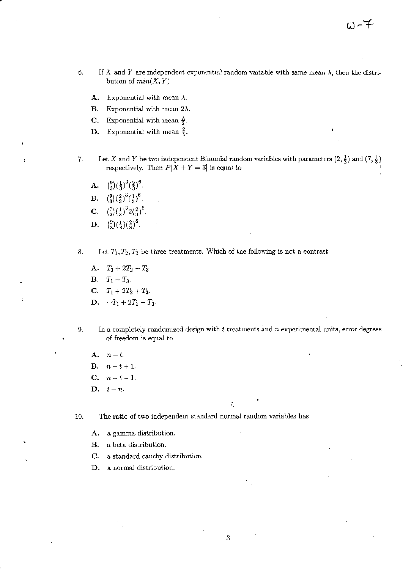- 6. If X and Y are independent exponential random variable with same mean  $\lambda$ , then the distribution of  $min(X, Y)$ 
	- **A.** Exponential with mean  $\lambda$ .
	- **B.** Exponential with mean  $2\lambda$ .
	- **C.** Exponential with mean  $\frac{\lambda}{2}$ .
	- **D.** Exponential with mean  $\frac{2}{3}$ .
- 7. Let X and Y be two independent Binomial random variables with parameters  $(2, \frac{1}{3})$  and  $(7, \frac{1}{3})$ respectively. Then  $P[X + Y = 3]$  is equal to
	- A.  $\binom{9}{3} \left(\frac{1}{3}\right)^3 \left(\frac{2}{3}\right)^6$ . **B.**  $\binom{9}{3} \left(\frac{2}{3}\right)^3 \left(\frac{1}{3}\right)^6$ . C.  $\binom{7}{2}(\frac{1}{3})^32(\frac{2}{3})^5$ . **D.**  $\binom{9}{3}(\frac{1}{3})(\frac{2}{3})^8$ .
- 8. Let  $T_1, T_2, T_3$  be three treatments. Which of the following is not a contrast

A.  $T_1 + 2T_2 - T_3$ . **B.**  $T_1 - T_3$ . C.  $T_1 + 2T_2 + T_3$ . D.  $-T_1 + 2T_2 - T_3$ .

9. In a completely randomized design with t treatments and *n* experimental units, error degrees of freedom is equal to

÷

A.  $n-l$ . B.  $n-t+1$ .  $C. \quad n-t-1.$  $\mathbf{D.} \quad t-n.$ 

10. The ratio of two independent standard normal random variables has

- A. a gamma distribution.
- B. a beta distribution.
- C. a standard cauchy distribution.
- D. a normal distribution.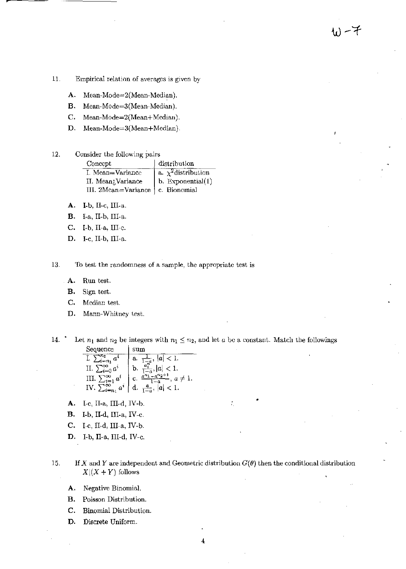- 11. Empirical relation of averages is given by
	- A. Mean-Mode=2(Mean-Median).
	- В. Mean-Mode=3(Mean-Median).
	- C. Mean-Mode=2(Mean+Median).
	- D. Mean-Mode=3(Mean+Median).

#### 12. Consider the following pairs

| Concept                            | distribution             |
|------------------------------------|--------------------------|
| I. Mean=Variance                   | a. $\chi^2$ distribution |
| II. Mean; Variance                 | $  b.$ Exponential $(1)$ |
| III. 2Mean=Variance   c. Bionomial |                          |

- A. I-b, II-c, III-a.
- **B.** I-a, II-b, III-a.
- C. I-b, II-a, III-c.
- D. I-c, II-b, III-a.

13. To test the randomness of a sample, the appropriate test is

- A. Run test.
- **B.** Sign test.
- C. Median test.
- Mann-Whitney test. D.

 $14.$ Let  $n_1$  and  $n_2$  be integers with  $n_1 \leq n_2$ , and let a be a constant. Match the followings Sequence | sum

| $\sum_{i=n_1}^{\infty} a^i$    | $\frac{1}{1-a}$ , $ a  < 1$ .                           |
|--------------------------------|---------------------------------------------------------|
| II. $\sum_{i=0}^{\infty} a^i$  | $\frac{a_1^n}{1-a},  a  < 1.$                           |
| III. $\sum_{i=1}^{\infty} a^i$ | $a^{n_1} - a^{n_2+1}$<br>$\frac{a}{1-a}$ , $a \neq 1$ . |
| IV. 5<br>$a^{i}$               | $\frac{a}{1-a}$ , $ a  < 1$ .                           |

- A. I-c, II-a, III-d, IV-b.
- **B.** I-b, II-d, III-a, IV-c.
- C. I-c, II-d, III-a, IV-b.
- D. I-b, II-a, III-d, IV-c.

If X and Y are independent and Geometric distribution  $G(\theta)$  then the conditional distribution 15.  $X|(X + Y)$  follows

- Negative Binomial. А.
- **B.** Poisson Distribution.
- C. Binomial Distribution.
- D. Discrete Uniform.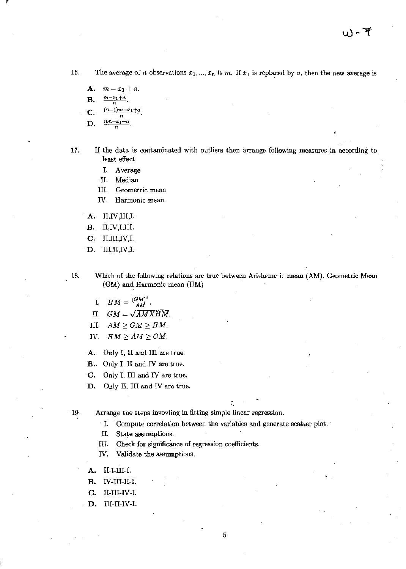16. The average of *n* observations  $x_1, ..., x_n$  is *m*. If  $x_1$  is replaced by *a*, then the new average is

А.  $m-x_1+a$ .  $\frac{m-x_1+a}{m-x_1+a}$ В.  $(n-1)m-x_1+a$ C.

$$
n \t \frac{n m - x_1 + a}{}
$$

17. If the data is contaminated with outliers then arrange following measures in according to least effect

- I. Average
- II. Median
- III. Geometric mean
- IV. Harmonic mean
- A.  $II, IV, III, I.$
- $II,IV,I,III.$ **B.**
- C. II,III,IV,I.
- D. III, II, IV, I.

Which of the following relations are true between Arithemetic mean (AM), Geometric Mean 18. (GM) and Harmonic mean (HM)

- I.  $HM = \frac{(GM)^2}{AM}$ .
- II.  $GM = \sqrt{AMXHM}$ .
- III.  $AM \ge GM \ge HM$ .
- IV.  $HM \ge AM \ge GM$ .

A. Only I, II and III are true.

- **B.** Only I, II and IV are true.
- C. Only I, III and IV are true.
- D. Only II, III and IV are true.

 $-19.$ Arrange the steps invovling in fitting simple linear regression.

> Compute correlation between the variables and generate scatter plot. I.

Π. State assumptions.

Check for significance of regression coefficients. III.

IV. Validate the assumptions.

- II-I-III-I. A.
- в. IV-III-II-I.
- C. II-III-IV-I.
- $III-II-IV-I.$ D.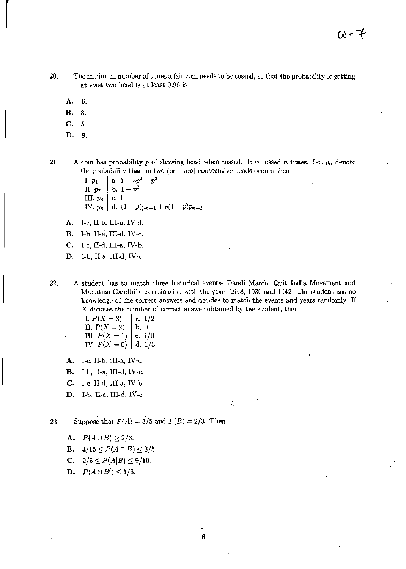20. The minimum number of times a fair coin needs to be tossed, so that the probability of getting at least two head is at least 0.96 is

- A. 6.
- B. 8.
- C. 5.
- D. 9.

21. A coin has probability p of showing head when tossed. It is tossed n times. Let  $p_n$  denote the probability that no two (or more) consecutive heads occurs then

> *I.*  $p_1$  a. 1 -  $2p^2 + p^3$ II.  $p_2$  b.  $1-p^2$ III.  $p_3$  | c. 1 IV.  $p_n \mid d. (1-p)p_{n-1} + p(1-p)p_{n-2}$

A. I-c, II-b, III-a, IV-d.

B. I-b, II-a, III-d, IV-c.

 $C.$  I-c, II-d, III-a, IV-b.

D. I-b, II-a, III-d, IV-c.

22. A student has to match three historical events- Dandi March, Quit India Movement and Mahatma Gandhi's assassination with the years 1948, 1930 and 1942. The student has no knowledge of the correct answers and decides to match the events and years randomly. If *X* denotes the number of correct answer obtained by the student, then

I. 
$$
P(X = 3)
$$
  
\nII.  $P(X = 2)$   
\nIII.  $P(X = 1)$   
\nI.  $P(X = 0)$   
\nI.  $P(X = 0)$   
\nI.  $1/3$ 

A. I-c, II-b, III-a, IV-d.

B. I-b, II-a, III-d, IV-c.

- C. I-c, II-d, III-a, IV-b.
- D. I-b, II-a, I1I-d, IV-c.

23. Suppose that  $P(A) = 3/5$  and  $P(B) = 2/3$ . Then

A.  $P(A \cup B) \ge 2/3$ .

- **B.**  $4/15 \le P(A \cap B) \le 3/5$ .
- **C.**  $2/5 \le P(A|B) \le 9/10$ .

D.  $P(A \cap B') \leq 1/3$ .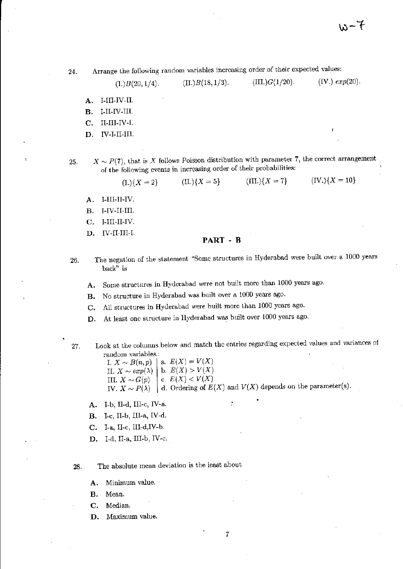いーで

24. Arrange the following random variables increasing order of their expected values:

(I.)  $B(20,1/4)$ . (II.)  $B(18,1/3)$ . (III.)  $G(1/20)$ . (IV.)  $exp(20)$ .

- A. I-III-IV-II.
- B. I-II-IV-III.
- C. II-III-IV-I.
- D. IV-I-II-III.

25.  $X \sim P(7)$ , that is X follows Poisson distribution with parameter 7, the correct arrangement of the following events in increasing order of their probabilities:

(I.) $\{X = 2\}$  (II.) $\{X = 5\}$  (III.) $\{X = 7\}$  (IV.) $\{X = 10\}$ 

- A. I-III-II-IV.
- B. I-IV-II-III.
- C. I-III-ll-IV.
- D. IV-II-III-I.

### PART - B

- 26. The negation of the statement "Some structures in Hyderabad were built over a 1000 years back" is
	- A. Some structures in Hyderabad were not built more than 1000 years ago.
	- B. No structure in Hyderabad was built over a 1000 years ago.
	- C. All structures in Hyderabad were built more than 1000 years ago.
	- D. At least one structure in Hyderabad was built over 1000 years ago.
- 

27. Look at the columns below and match the entries regarding expected values and variances of random variables.:

7

I.  $X \sim B(n,p)$  a.  $E(X) = V(X)$ II.  $X \sim exp(\lambda)$  | b.  $E(X) > V(X)$ III.  $X \sim G(p)$  c.  $E(X) < V(X)$ IV.  $X \sim P(\lambda)$  d. Ordering of  $E(X)$  and  $V(X)$  depends on the parameter(s).

- A. I-b, II-d, III-c, IV-a.
- B. I-c, II-b, III-a, IV-d.
- C. I-a, II-c, III-d,IV-b.
- D. I-d, II-a, III-b, IV-c.

28. The absolute mean deviation is the least about

- A. Minimum value.
- B. Mean.
- C. Median.
- D. Maximum value.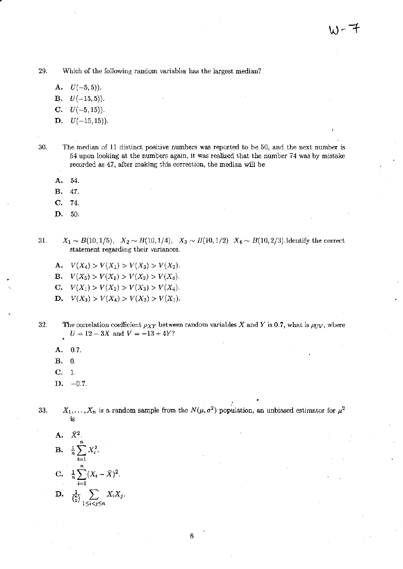29. Which of the following random variables has the largest median?

- **A.**  $U(-5,5)$ ).
- $U(-15,5)$ ). **B.**
- C.  $U(-5, 15)$ ).
- **D.**  $U(-15, 15)$ ).
- 30. The median of 11 distinct positive numbers was reported to be 50, and the next number is 54 upon looking at the numbers again, it was realized that the number 74 was by mistake recorded as 47, after making this correction, the median will be
	- A. 54.
	- в. 47.
	- C. 74.
	- D. 50.
- $X_1 \sim B(10, 1/5)$ ,  $X_2 \sim B(10, 1/4)$ ,  $X_3 \sim B(10, 1/2)$   $X_4 \sim B(10, 2/3)$ . Identify the correct 31. statement regarding their variances.
	- **A.**  $V(X_4) > V(X_1) > V(X_3) > V(X_2)$ .
	- **B.**  $V(X_3) > V(X_1) > V(X_2) > V(X_4)$ .
	- **C.**  $V(X_1) > V(X_2) > V(X_3) > V(X_4)$ .
	- **D.**  $V(X_3) > V(X_4) > V(X_2) > V(X_1)$ .
- 32. The correlation coefficient  $\rho_{XY}$  between random variables X and Y is 0.7, what is  $\rho_{UV}$ , where  $U = 12 - 3X$  and  $V = -13 + 4Y$ ?
	- 0.7. A.
	- В.  $\overline{0}$ .
	- $\mathbf{C}$ .  $\mathbf{1}$ .
	- $D. -0.7.$
- $X_1, \ldots, X_n$  is a random sample from the  $N(\mu, \sigma^2)$  population, an unbiased estimator for  $\mu^2$ 33. ig
	- A.  $\bar{X}^2$ . **B.**  $\frac{1}{n} \sum_{i=1}^{n} X_i^2$ . C.  $\frac{1}{n}\sum_{i=1}^{n}(X_i-\bar{X})^2$ . D.  $\frac{1}{\binom{n}{2}} \sum_{1 \leq i \leq j \leq n} X_i X_j$ .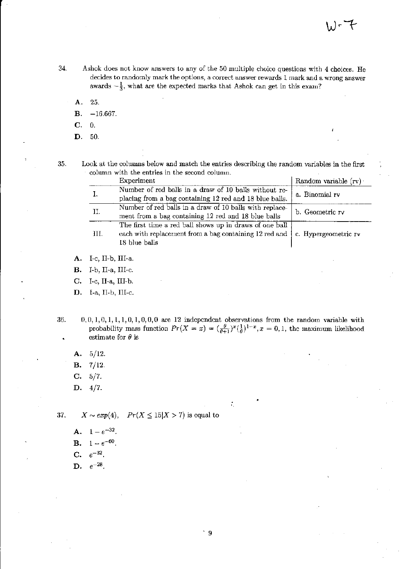- 34. Ashok does not know answers to any of the 50 multiple choice questions with 4 choices. He decides to randomly mark the options, a correct answer rewards 1 mark and a wrong answer awards  $-\frac{1}{3}$ , what are the expected marks that Ashok can get in this exam?
	- A. 25.
	- $B. -16.667.$
	- C. O.
	- **D.** 50.

ŀ,

35. Look at the columns below and match the entries describing the random variables in the first column with the entries in the second column.

|     | Experiment                                                                                                                           | Random variable (rv) |
|-----|--------------------------------------------------------------------------------------------------------------------------------------|----------------------|
| I.  | Number of red balls in a draw of 10 balls without re-<br>placing from a bag containing 12 red and 18 blue balls.                     | a. Binomial rv       |
| II. | Number of red balls in a draw of 10 balls with replace-<br>ment from a bag containing 12 red and 18 blue balls                       | b. Geometric rv      |
| HI. | The first time a red ball shows up in draws of one ball<br>each with replacement from a bag containing 12 red and  <br>18 blue balls | c. Hypergeometric rv |

A. I-c, II-b, III-a.

B. I-b, II-a, III-c.

C. I-c, II-a, III-b.

D. I-a, II-b, III-c.

36.  $0,0,1,0,1,1,1,0,1,0,0,0$  are 12 independent observations from the random variable with probability mass function  $Pr(X = x) = (\frac{\theta}{\theta+1})^x(\frac{1}{\theta})^{1-x}, x = 0, 1$ , the maximum likelihood estimate for  $\theta$  is

÷.

- A. 5/12.
- B. 7/12.

 $C. 5/7.$ 

D. 4/7.

37.  $X \sim exp(4)$ ,  $Pr(X \le 15|X > 7)$  is equal to

A.  $1-e^{-32}$ 

**B.**  $1 - e^{-60}$ .

C.  $e^{-32}$ .

D. *e-28.*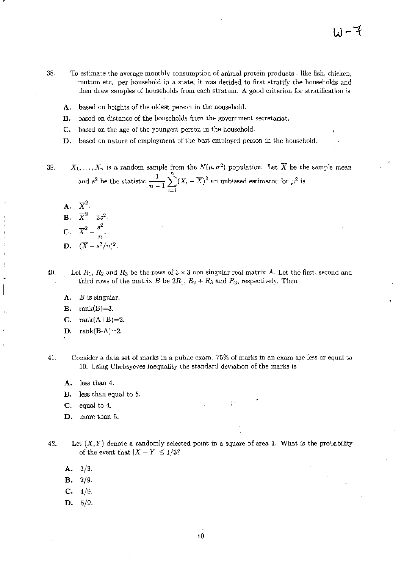- 38. To estimate the average monthly consumption of animal protein products - like fish, chicken, mutton etc. per household in a state, it was decided to first stratify the households and then draw samples of households from each stratum. A good criterion for stratification is
	- based on heights of the oldest person in the household. А.
	- based on distance of the households from the government secretariat. В.
	- C. based on the age of the youngest person in the household.
	- based on nature of employment of the best employed person in the household. D.

 $X_1, \ldots, X_n$  is a random sample from the  $N(\mu, \sigma^2)$  population. Let  $\overline{X}$  be the sample mean 39. and  $s^2$  be the statistic  $\frac{1}{n-1}\sum_{i=1}^n (X_i - \overline{X})^2$  an unbiased estimator for  $\mu^2$  is

- $A. \quad \overline{X}^2.$ **B.**  $\overline{X}^2 - 2s^2$ . C.  $\overline{X}^2 - \frac{s^2}{n}$ .
- **D.**  $(\overline{X} s^2/n)^2$ .

Let  $R_1$ ,  $R_2$  and  $R_3$  be the rows of  $3 \times 3$  non singular real matrix A. Let the first, second and 40. third rows of the matrix B be  $2R_1$ ,  $R_2 + R_3$  and  $R_2$ , respectively. Then

- Α.  $B$  is singular.
- rank $(B)=3$ . В.
- $rank(A+B)=2.$ C.
- rank $(B-A)=2$ . D.
- Consider a data set of marks in a public exam. 75% of marks in an exam are less or equal to 41. 10. Using Chebsyeves inequality the standard deviation of the marks is
	- less than 4. A.
	- less than equal to 5. В.
	- $C<sub>r</sub>$ equal to 4.
	- D. more than 5.
- 42. Let  $(X, Y)$  denote a randomly selected point in a square of area 1. What is the probability of the event that  $|X - Y| \leq 1/3$ ?
	- $1/3.$ А.
	- $2/9.$ В.
	- C.  $4/9.$
	- $D. 5/9.$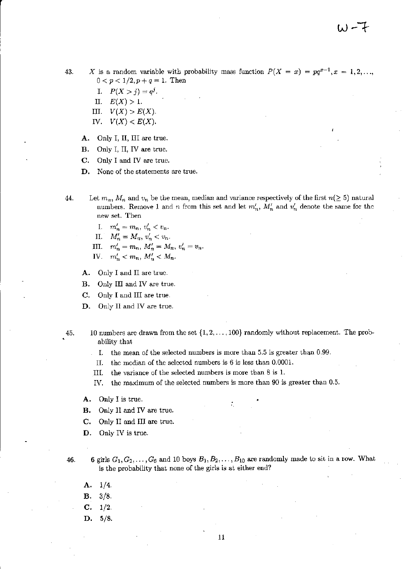43. *X* is a random variable with probability mass function  $P(X = x) = pq^{x-1}, x = 1, 2, ...,$  $0 < p < 1/2, p+q = 1$ . Then

- I.  $P(X > j) = q^{j}$ .
- II.  $E(X) > 1$ .
- III.  $V(X) > E(X)$ .
- *N.*  $V(X) < E(X)$ .
- A. Only I, II, III are true.
- B. Only I, II, IV are true.
- C. Only I and IV are true.
- D. None of the statements are true.
- 44. Let  $m_n$ ,  $M_n$  and  $v_n$  be the mean, median and variance respectively of the first  $n(\geq 5)$  natural numbers. Remove 1 and *n* from this set and let  $m'_n$ ,  $M'_n$  and  $v'_n$  denote the same for the new set. Then
	- I.  $m'_n = m_n, v'_n < v_n$ .
	- II.  $M'_n = M_n, v'_n < v_n$ .
	- III.  $m'_{n} = m_{n}, M'_{n} = M_{n}, v'_{n} = v_{n}$ .
	- IV.  $m'_n < m_n, M'_n < M_n$ .
	- A. Only I and II arc true.
	- B. Only III and IV are true.
	- C. Only I and III are true.
	- D. Only II and IV are true.
- 45. 10 numbers are drawn from the set  $\{1, 2, \ldots, 100\}$  randomly without replacement. The probability that
	- 1. the mean of the selected numbers is more than 5.5 is greater than 0.99.
	- II. the median of the selected numbers is 6 is less than 0.0001.
	- III. the variance of the selected nwnbers is more than 8 is l.
	- IV. the maximum of the selected numbers is more than 90 is greater than 0.5.
	- A. Only I is true.
	- B. Only II and IV are true.
	- C. Only II and III are true.
	- D. Only IV is true.
- 46. 6 girls  $G_1, G_2, \ldots, G_6$  and 10 boys  $B_1, B_2, \ldots, B_{10}$  are randomly made to sit in a row. What is the probability that none of the girls is at either end?
	- A. 1/4.
	- B. 3/8.
	- C. 1/2.
	- D. 5/8.